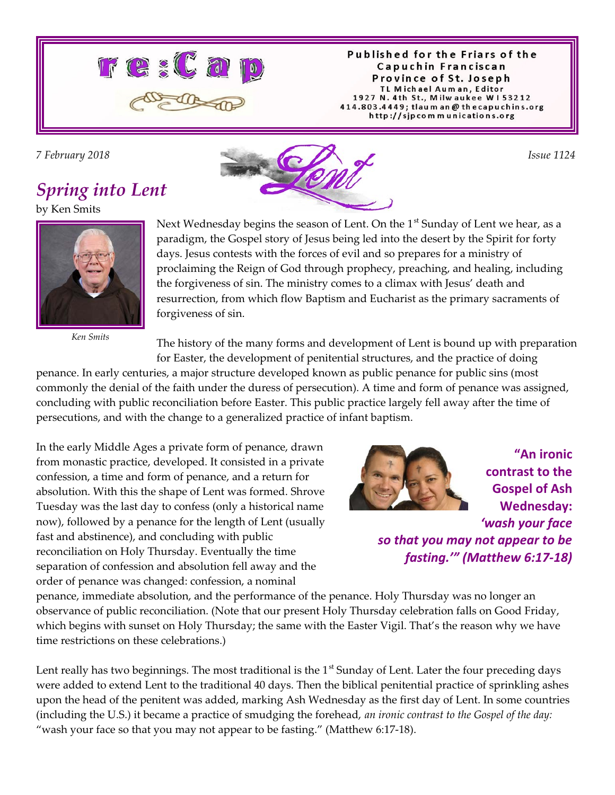

Published for the Friars of the Capuchin Franciscan Province of St. Joseph TL Michael Auman, Editor 1927 N. 4th St., Milwaukee W153212 414.803.4449; tlaum an @ thecapuchins.org http://sjpcommunications.org

### *Spring into Lent*

by Ken Smits



*Ken Smits*



Next Wednesday begins the season of Lent. On the  $1<sup>st</sup>$  Sunday of Lent we hear, as a paradigm, the Gospel story of Jesus being led into the desert by the Spirit for forty days. Jesus contests with the forces of evil and so prepares for a ministry of proclaiming the Reign of God through prophecy, preaching, and healing, including the forgiveness of sin. The ministry comes to a climax with Jesus' death and resurrection, from which flow Baptism and Eucharist as the primary sacraments of forgiveness of sin.

The history of the many forms and development of Lent is bound up with preparation for Easter, the development of penitential structures, and the practice of doing

penance. In early centuries, a major structure developed known as public penance for public sins (most commonly the denial of the faith under the duress of persecution). A time and form of penance was assigned, concluding with public reconciliation before Easter. This public practice largely fell away after the time of persecutions, and with the change to a generalized practice of infant baptism.

In the early Middle Ages a private form of penance, drawn from monastic practice, developed. It consisted in a private confession, a time and form of penance, and a return for absolution. With this the shape of Lent was formed. Shrove Tuesday was the last day to confess (only a historical name now), followed by a penance for the length of Lent (usually fast and abstinence), and concluding with public reconciliation on Holy Thursday. Eventually the time separation of confession and absolution fell away and the order of penance was changed: confession, a nominal



**"An ironic contrast to the Gospel of Ash Wednesday:** *'wash your face so that you may not appear to be fasting.'" (Matthew 6:17-18)*

penance, immediate absolution, and the performance of the penance. Holy Thursday was no longer an observance of public reconciliation. (Note that our present Holy Thursday celebration falls on Good Friday, which begins with sunset on Holy Thursday; the same with the Easter Vigil. That's the reason why we have time restrictions on these celebrations.)

Lent really has two beginnings. The most traditional is the  $1<sup>st</sup>$  Sunday of Lent. Later the four preceding days were added to extend Lent to the traditional 40 days. Then the biblical penitential practice of sprinkling ashes upon the head of the penitent was added, marking Ash Wednesday as the first day of Lent. In some countries (including the U.S.) it became a practice of smudging the forehead, *an ironic contrast to the Gospel of the day:* "wash your face so that you may not appear to be fasting." (Matthew 6:17-18).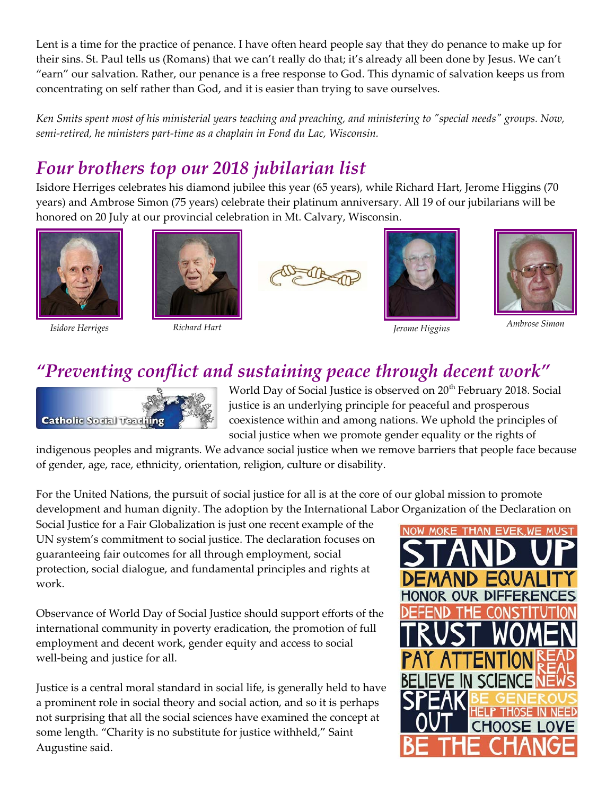Lent is a time for the practice of penance. I have often heard people say that they do penance to make up for their sins. St. Paul tells us (Romans) that we can't really do that; it's already all been done by Jesus. We can't "earn" our salvation. Rather, our penance is a free response to God. This dynamic of salvation keeps us from concentrating on self rather than God, and it is easier than trying to save ourselves.

*Ken Smits spent most of his ministerial years teaching and preaching, and ministering to "special needs" groups. Now, semi-retired, he ministers part-time as a chaplain in Fond du Lac, Wisconsin.*

# *Four brothers top our 2018 jubilarian list*

Isidore Herriges celebrates his diamond jubilee this year (65 years), while Richard Hart, Jerome Higgins (70 years) and Ambrose Simon (75 years) celebrate their platinum anniversary. All 19 of our jubilarians will be honored on 20 July at our provincial celebration in Mt. Calvary, Wisconsin.











*Isidore Herriges Richard Hart Jerome Higgins Ambrose Simon*



# *"Preventing conflict and sustaining peace through decent work"*



World Day of Social Justice is observed on 20<sup>th</sup> February 2018. Social justice is an underlying principle for peaceful and prosperous coexistence within and among nations. We uphold the principles of social justice when we promote gender equality or the rights of

indigenous peoples and migrants. We advance social justice when we remove barriers that people face because of gender, age, race, ethnicity, orientation, religion, culture or disability.

For the United Nations, the pursuit of social justice for all is at the core of our global mission to promote development and human dignity. The adoption by the International Labor Organization of the Declaration on

Social Justice for a Fair Globalization is just one recent example of the UN system's commitment to social justice. The declaration focuses on guaranteeing fair outcomes for all through employment, social protection, social dialogue, and fundamental principles and rights at work.

Observance of World Day of Social Justice should support efforts of the international community in poverty eradication, the promotion of full employment and decent work, gender equity and access to social well-being and justice for all.

Justice is a central moral standard in social life, is generally held to have a prominent role in social theory and social action, and so it is perhaps not surprising that all the social sciences have examined the concept at some length. "Charity is no substitute for justice withheld," Saint Augustine said.

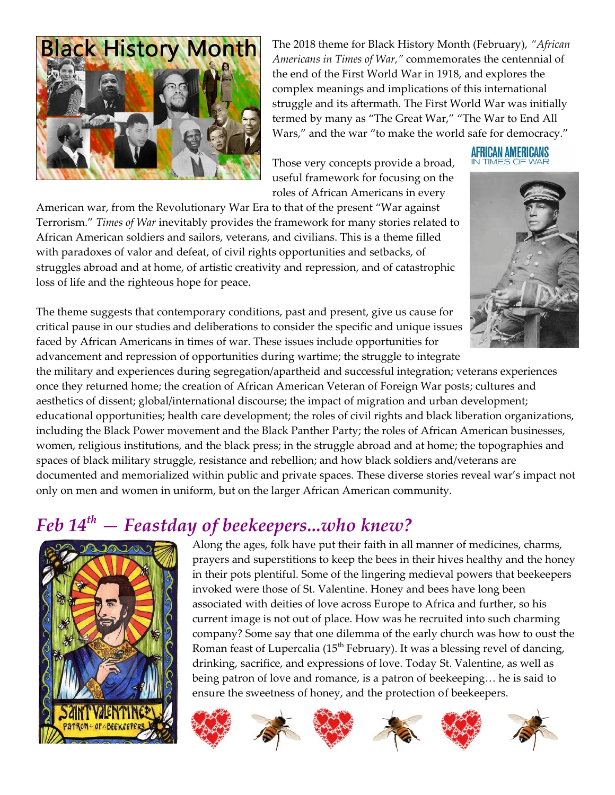

The 2018 theme for Black History Month (February), *"African Americans in Times of War,"* commemorates the centennial of the end of the First World War in 1918, and explores the complex meanings and implications of this international struggle and its aftermath. The First World War was initially termed by many as "The Great War," "The War to End All Wars," and the war "to make the world safe for democracy."

Those very concepts provide a broad, useful framework for focusing on the roles of African Americans in every

American war, from the Revolutionary War Era to that of the present "War against Terrorism." *Times of War* inevitably provides the framework for many stories related to African American soldiers and sailors, veterans, and civilians. This is a theme filled with paradoxes of valor and defeat, of civil rights opportunities and setbacks, of struggles abroad and at home, of artistic creativity and repression, and of catastrophic loss of life and the righteous hope for peace.



AFRICAN AMERICANS

The theme suggests that contemporary conditions, past and present, give us cause for critical pause in our studies and deliberations to consider the specific and unique issues faced by African Americans in times of war. These issues include opportunities for advancement and repression of opportunities during wartime; the struggle to integrate

the military and experiences during segregation/apartheid and successful integration; veterans experiences once they returned home; the creation of African American Veteran of Foreign War posts; cultures and aesthetics of dissent; global/international discourse; the impact of migration and urban development; educational opportunities; health care development; the roles of civil rights and black liberation organizations, including the Black Power movement and the Black Panther Party; the roles of African American businesses, women, religious institutions, and the black press; in the struggle abroad and at home; the topographies and spaces of black military struggle, resistance and rebellion; and how black soldiers and/veterans are documented and memorialized within public and private spaces. These diverse stories reveal war's impact not only on men and women in uniform, but on the larger African American community.

### *Feb 14th — Feastday of beekeepers...who knew?*



Along the ages, folk have put their faith in all manner of medicines, charms, prayers and superstitions to keep the bees in their hives healthy and the honey in their pots plentiful. Some of the lingering medieval powers that beekeepers invoked were those of St. Valentine. Honey and bees have long been associated with deities of love across Europe to Africa and further, so his current image is not out of place. How was he recruited into such charming company? Some say that one dilemma of the early church was how to oust the Roman feast of Lupercalia (15<sup>th</sup> February). It was a blessing revel of dancing, drinking, sacrifice, and expressions of love. Today St. Valentine, as well as being patron of love and romance, is a patron of beekeeping… he is said to ensure the sweetness of honey, and the protection of beekeepers.